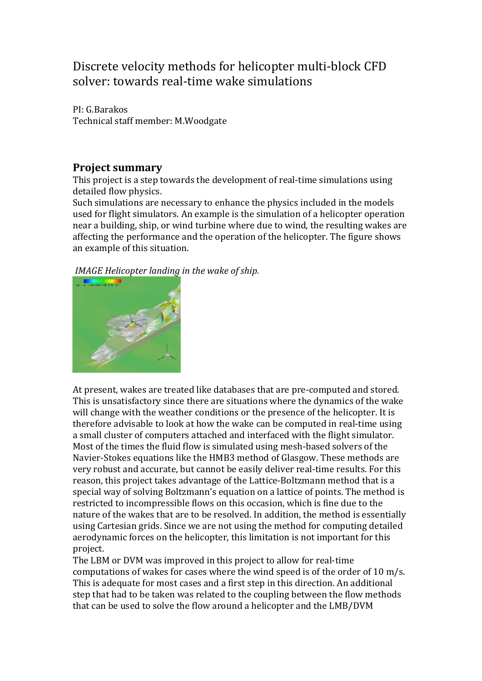## Discrete velocity methods for helicopter multi-block CFD solver: towards real-time wake simulations

PI: G.Barakos Technical staff member: M.Woodgate

## **Project summary**

This project is a step towards the development of real-time simulations using detailed flow physics.

Such simulations are necessary to enhance the physics included in the models used for flight simulators. An example is the simulation of a helicopter operation near a building, ship, or wind turbine where due to wind, the resulting wakes are affecting the performance and the operation of the helicopter. The figure shows an example of this situation.

*IMAGE Helicopter landing in the wake of ship.*



At present, wakes are treated like databases that are pre-computed and stored. This is unsatisfactory since there are situations where the dynamics of the wake will change with the weather conditions or the presence of the helicopter. It is therefore advisable to look at how the wake can be computed in real-time using a small cluster of computers attached and interfaced with the flight simulator. Most of the times the fluid flow is simulated using mesh-based solvers of the Navier-Stokes equations like the HMB3 method of Glasgow. These methods are very robust and accurate, but cannot be easily deliver real-time results. For this reason, this project takes advantage of the Lattice-Boltzmann method that is a special way of solving Boltzmann's equation on a lattice of points. The method is restricted to incompressible flows on this occasion, which is fine due to the nature of the wakes that are to be resolved. In addition, the method is essentially using Cartesian grids. Since we are not using the method for computing detailed aerodynamic forces on the helicopter, this limitation is not important for this project.

The LBM or DVM was improved in this project to allow for real-time computations of wakes for cases where the wind speed is of the order of 10 m/s. This is adequate for most cases and a first step in this direction. An additional step that had to be taken was related to the coupling between the flow methods that can be used to solve the flow around a helicopter and the LMB/DVM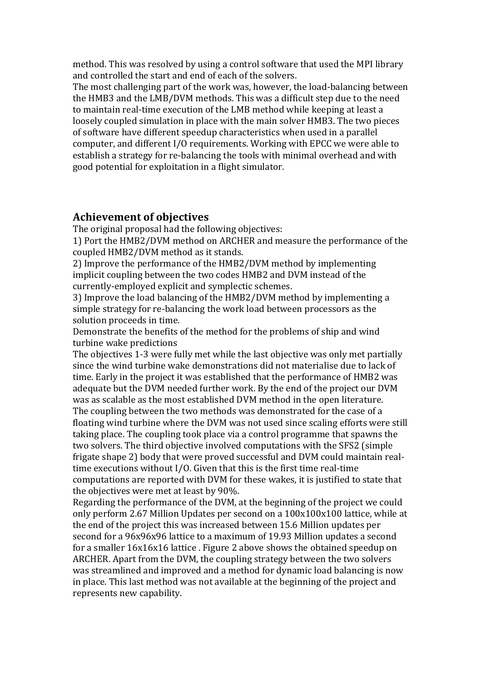method. This was resolved by using a control software that used the MPI library and controlled the start and end of each of the solvers.

The most challenging part of the work was, however, the load-balancing between the HMB3 and the LMB/DVM methods. This was a difficult step due to the need to maintain real-time execution of the LMB method while keeping at least a loosely coupled simulation in place with the main solver HMB3. The two pieces of software have different speedup characteristics when used in a parallel computer, and different I/O requirements. Working with EPCC we were able to establish a strategy for re-balancing the tools with minimal overhead and with good potential for exploitation in a flight simulator.

## **Achievement of objectives**

The original proposal had the following objectives:

1) Port the HMB2/DVM method on ARCHER and measure the performance of the coupled HMB2/DVM method as it stands.

2) Improve the performance of the HMB2/DVM method by implementing implicit coupling between the two codes HMB2 and DVM instead of the currently-employed explicit and symplectic schemes.

3) Improve the load balancing of the HMB2/DVM method by implementing a simple strategy for re-balancing the work load between processors as the solution proceeds in time.

Demonstrate the benefits of the method for the problems of ship and wind turbine wake predictions

The objectives 1-3 were fully met while the last objective was only met partially since the wind turbine wake demonstrations did not materialise due to lack of time. Early in the project it was established that the performance of HMB2 was adequate but the DVM needed further work. By the end of the project our DVM was as scalable as the most established DVM method in the open literature. The coupling between the two methods was demonstrated for the case of a floating wind turbine where the DVM was not used since scaling efforts were still taking place. The coupling took place via a control programme that spawns the two solvers. The third objective involved computations with the SFS2 (simple frigate shape 2) body that were proved successful and DVM could maintain realtime executions without I/O. Given that this is the first time real-time computations are reported with DVM for these wakes, it is justified to state that the objectives were met at least by 90%.

Regarding the performance of the DVM, at the beginning of the project we could only perform 2.67 Million Updates per second on a 100x100x100 lattice, while at the end of the project this was increased between 15.6 Million updates per second for a 96x96x96 lattice to a maximum of 19.93 Million updates a second for a smaller 16x16x16 lattice . Figure 2 above shows the obtained speedup on ARCHER. Apart from the DVM, the coupling strategy between the two solvers was streamlined and improved and a method for dynamic load balancing is now in place. This last method was not available at the beginning of the project and represents new capability.